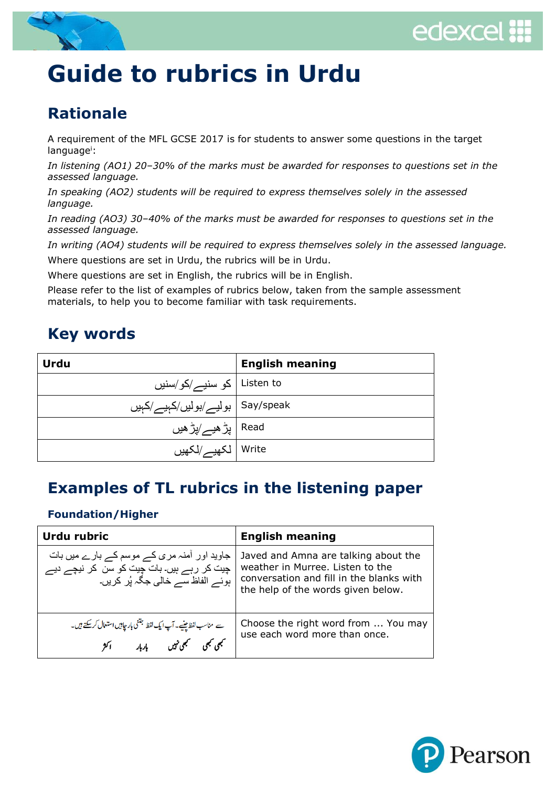



## **Guide to rubrics in Urdu**

## **Rationale**

A requirement of the MFL GCSE 2017 is for students to answer some questions in the target language<sup>i</sup>:

*In listening (AO1) 20–30% of the marks must be awarded for responses to questions set in the assessed language.*

*In speaking (AO2) students will be required to express themselves solely in the assessed language.*

*In reading (AO3) 30–40% of the marks must be awarded for responses to questions set in the assessed language.*

*In writing (AO4) students will be required to express themselves solely in the assessed language.* Where questions are set in Urdu, the rubrics will be in Urdu.

Where questions are set in English, the rubrics will be in English.

Please refer to the list of examples of rubrics below, taken from the sample assessment materials, to help you to become familiar with task requirements.

## **Key words**

| Urdu                              | <b>English meaning</b> |
|-----------------------------------|------------------------|
| Listen to   کو سنیـــــ /کو /سنیں |                        |
| Say/speak   بوليس/بوليں/كېيس/كېيں |                        |
| Read   پڑ ھیے/پڑ ھیں              |                        |
| Write   لكهيــــر/لكهيں           |                        |

## **Examples of TL rubrics in the listening paper**

#### **Foundation/Higher**

| Urdu rubric                                                                                                                 | <b>English meaning</b>                                                                                                                                     |
|-----------------------------------------------------------------------------------------------------------------------------|------------------------------------------------------------------------------------------------------------------------------------------------------------|
| جاوید اور آمنہ مری کے موسم کے بارے میں بات<br>چیت کر رہے ہیں۔ بات چیت کو سن کر نیچے دیے<br>ہوئے الفاظ سے خالی جگہ پُر کریں۔ | Javed and Amna are talking about the<br>weather in Murree. Listen to the<br>conversation and fill in the blanks with<br>the help of the words given below. |
| سے مناسب لفظ جینیے۔ آپ ایک لفظ جتنی بار جاہیں استعال کر سکتے ہیں۔<br>تجمجی تجمعی نہیں پاربار اکثر                           | Choose the right word from  You may<br>use each word more than once.                                                                                       |

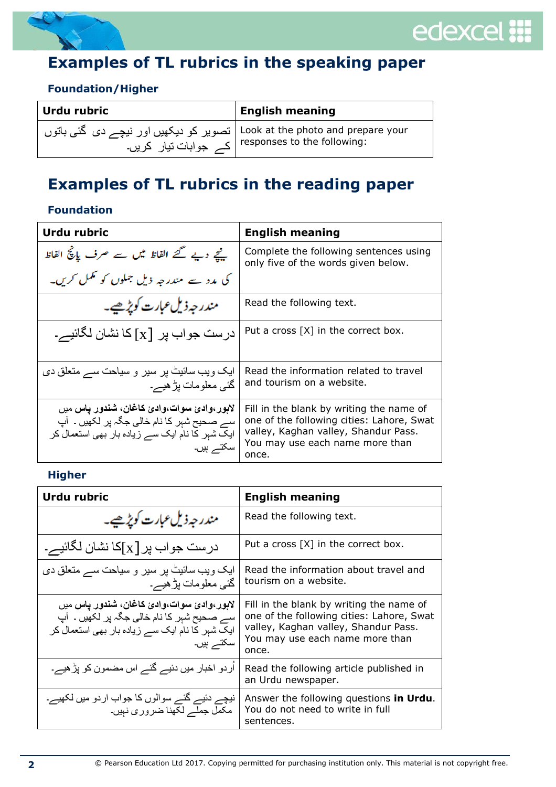

# edexcel ::

## **Examples of TL rubrics in the speaking paper**

#### **Foundation/Higher**

| Urdu rubric                                                                                                                        | <b>English meaning</b> |
|------------------------------------------------------------------------------------------------------------------------------------|------------------------|
| Look at the photo and prepare your   تصویر کو دیکھیں اور نیچے دی گئی باتوں<br>  responses to the following:<br>ے جوابات تیار کریں۔ |                        |

## **Examples of TL rubrics in the reading paper**

#### **Foundation**

| Urdu rubric                                                                                                                                               | <b>English meaning</b>                                                                                                                                                    |
|-----------------------------------------------------------------------------------------------------------------------------------------------------------|---------------------------------------------------------------------------------------------------------------------------------------------------------------------------|
| ینچے دیے گئے الفاظ میں سے صرف پانچ الفاظ                                                                                                                  | Complete the following sentences using<br>only five of the words given below.                                                                                             |
| کی مدد سے مندرجہ ذیل جملوں کو عمل کریں۔                                                                                                                   |                                                                                                                                                                           |
| مندر حہ ذیل عبارت کویڑھیے۔                                                                                                                                | Read the following text.                                                                                                                                                  |
| در ست جو اب پر  [x] کا نشان لگائیے۔                                                                                                                       | Put a cross [X] in the correct box.                                                                                                                                       |
| ایک ویب سائیٹ پر سیر و سیاحت سے متعلق دی<br>گئے معلومات بڑ ہیے۔                                                                                           | Read the information related to travel<br>and tourism on a website.                                                                                                       |
| لابور ،وادئ سوات،وادئ كاغان، شندور ياس ميں<br>سے صحیح شہر کا نام خالی جگہ پر لکھیں ۔ آپ<br>ایک شبر کا نام ایک سے زیادہ بار بھی استعمال کر<br>سكتـــر ہیں۔ | Fill in the blank by writing the name of<br>one of the following cities: Lahore, Swat<br>valley, Kaghan valley, Shandur Pass.<br>You may use each name more than<br>once. |

#### **Higher**

| <b>Urdu rubric</b>                                                                                                                                     | <b>English meaning</b>                                                                                                                                                    |
|--------------------------------------------------------------------------------------------------------------------------------------------------------|---------------------------------------------------------------------------------------------------------------------------------------------------------------------------|
| مندر جہ ذیل عبارت کویڑھیے۔                                                                                                                             | Read the following text.                                                                                                                                                  |
| در ست جواب پر [x]کا نشان لگائیے۔                                                                                                                       | Put a cross [X] in the correct box.                                                                                                                                       |
| ایک ویب سائیٹ پر سیر و سیاحت سے متعلق دی<br>گئی معلومات بڑ ہیے۔                                                                                        | Read the information about travel and<br>tourism on a website.                                                                                                            |
| لابور ،وادئ سوات،وادئ كاغان، شندور ياس ميں<br>سے صحیح شہر کا نام خالی جگہ پر لکھیں ۔ آپ<br>ایک شہر کا نام ایک سے زیادہ بار بھی استعمال کر<br>سکتے ہیں۔ | Fill in the blank by writing the name of<br>one of the following cities: Lahore, Swat<br>valley, Kaghan valley, Shandur Pass.<br>You may use each name more than<br>once. |
| اُردو اخبار میں دئیے گئے اس مضمون کو پڑ ہیے۔                                                                                                           | Read the following article published in<br>an Urdu newspaper.                                                                                                             |
| نیچے دئیے گئے سوالوں کا جواب اردو میں لکھیے۔<br>مکمل جملے لکھنا ضروری نہیں۔                                                                            | Answer the following questions in Urdu.<br>You do not need to write in full<br>sentences.                                                                                 |